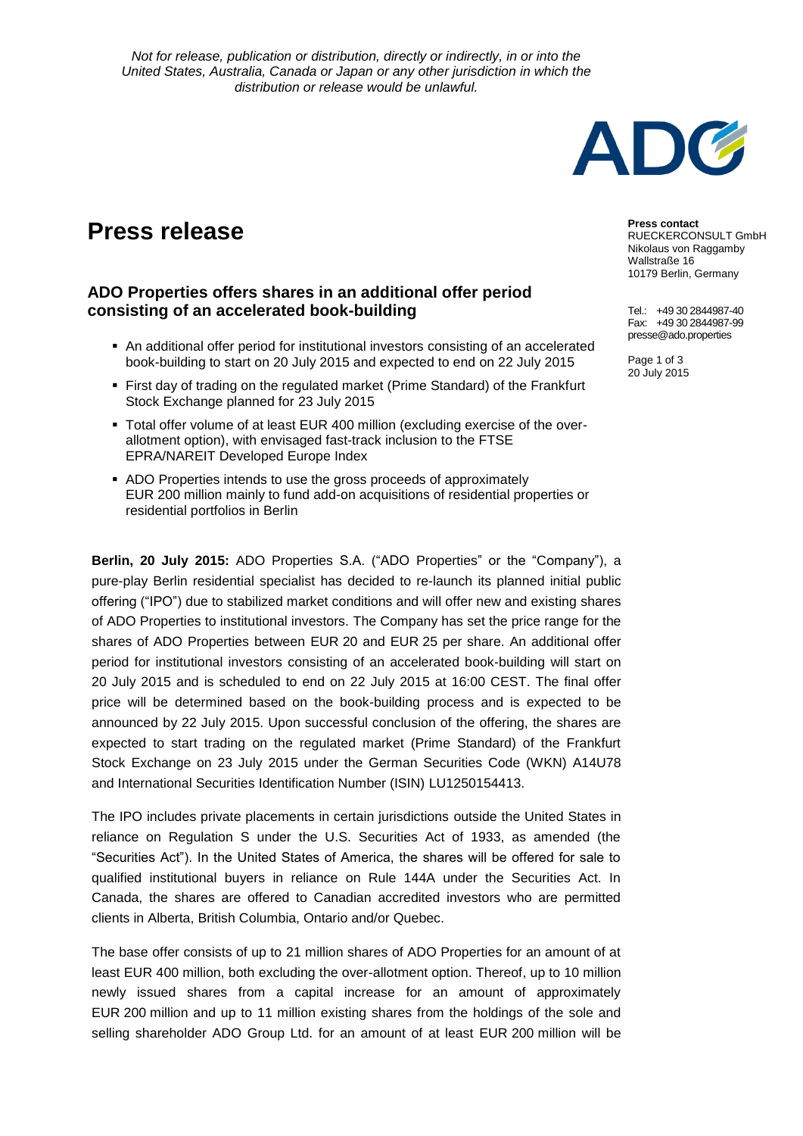

## **Press release**

## **ADO Properties offers shares in an additional offer period consisting of an accelerated book-building**

- An additional offer period for institutional investors consisting of an accelerated book-building to start on 20 July 2015 and expected to end on 22 July 2015
- First day of trading on the regulated market (Prime Standard) of the Frankfurt Stock Exchange planned for 23 July 2015
- Total offer volume of at least EUR 400 million (excluding exercise of the overallotment option), with envisaged fast-track inclusion to the FTSE EPRA/NAREIT Developed Europe Index
- ADO Properties intends to use the gross proceeds of approximately EUR 200 million mainly to fund add-on acquisitions of residential properties or residential portfolios in Berlin

**Berlin, 20 July 2015:** ADO Properties S.A. ("ADO Properties" or the "Company"), a of ADO Properties to institutional investors. The Company has set the price range for the pure-play Berlin residential specialist has decided to re-launch its planned initial public offering ("IPO") due to stabilized market conditions and will offer new and existing shares shares of ADO Properties between EUR 20 and EUR 25 per share. An additional offer period for institutional investors consisting of an accelerated book-building will start on 20 July 2015 and is scheduled to end on 22 July 2015 at 16:00 CEST. The final offer price will be determined based on the book-building process and is expected to be announced by 22 July 2015. Upon successful conclusion of the offering, the shares are expected to start trading on the regulated market (Prime Standard) of the Frankfurt Stock Exchange on 23 July 2015 under the German Securities Code (WKN) A14U78 and International Securities Identification Number (ISIN) LU1250154413.

The IPO includes private placements in certain jurisdictions outside the United States in reliance on Regulation S under the U.S. Securities Act of 1933, as amended (the "Securities Act"). In the United States of America, the shares will be offered for sale to qualified institutional buyers in reliance on Rule 144A under the Securities Act. In Canada, the shares are offered to Canadian accredited investors who are permitted clients in Alberta, British Columbia, Ontario and/or Quebec.

The base offer consists of up to 21 million shares of ADO Properties for an amount of at least EUR 400 million, both excluding the over-allotment option. Thereof, up to 10 million newly issued shares from a capital increase for an amount of approximately EUR 200 million and up to 11 million existing shares from the holdings of the sole and selling shareholder ADO Group Ltd. for an amount of at least EUR 200 million will be

**Press contact**

RUECKERCONSULT GmbH Nikolaus von Raggamby Wallstraße 16 10179 Berlin, Germany

Tel.: +49 30 2844987-40 Fax: +49 30 2844987-99 presse@ado.properties

Page 1 of 3 20 July 2015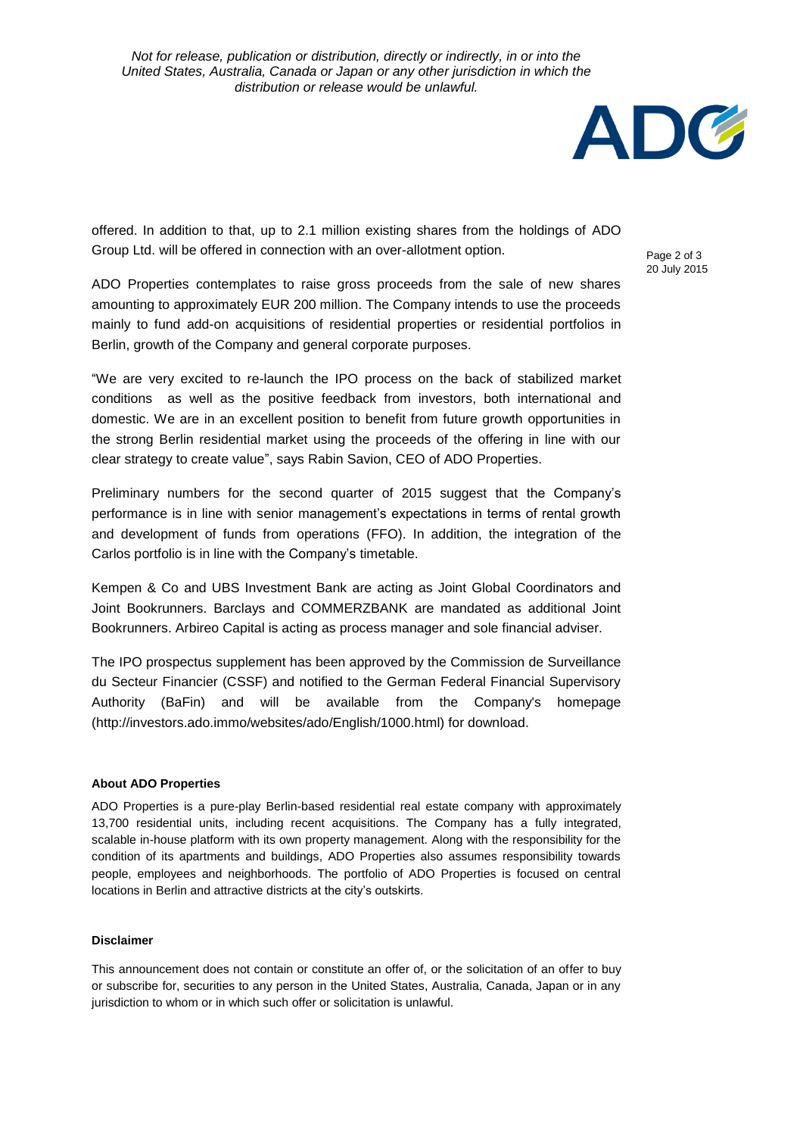

offered. In addition to that, up to 2.1 million existing shares from the holdings of ADO Group Ltd. will be offered in connection with an over-allotment option.

Page 2 of 3 20 July 2015

ADO Properties contemplates to raise gross proceeds from the sale of new shares amounting to approximately EUR 200 million. The Company intends to use the proceeds mainly to fund add-on acquisitions of residential properties or residential portfolios in Berlin, growth of the Company and general corporate purposes.

"We are very excited to re-launch the IPO process on the back of stabilized market conditions as well as the positive feedback from investors, both international and domestic. We are in an excellent position to benefit from future growth opportunities in the strong Berlin residential market using the proceeds of the offering in line with our clear strategy to create value", says Rabin Savion, CEO of ADO Properties.

Preliminary numbers for the second quarter of 2015 suggest that the Company's performance is in line with senior management's expectations in terms of rental growth and development of funds from operations (FFO). In addition, the integration of the Carlos portfolio is in line with the Company's timetable.

Kempen & Co and UBS Investment Bank are acting as Joint Global Coordinators and Joint Bookrunners. Barclays and COMMERZBANK are mandated as additional Joint Bookrunners. Arbireo Capital is acting as process manager and sole financial adviser.

The IPO prospectus supplement has been approved by the Commission de Surveillance du Secteur Financier (CSSF) and notified to the German Federal Financial Supervisory Authority (BaFin) and will be available from the Company's homepage (http://investors.ado.immo/websites/ado/English/1000.html) for download.

## **About ADO Properties**

ADO Properties is a pure-play Berlin-based residential real estate company with approximately 13,700 residential units, including recent acquisitions. The Company has a fully integrated, scalable in-house platform with its own property management. Along with the responsibility for the condition of its apartments and buildings, ADO Properties also assumes responsibility towards people, employees and neighborhoods. The portfolio of ADO Properties is focused on central locations in Berlin and attractive districts at the city's outskirts.

## **Disclaimer**

This announcement does not contain or constitute an offer of, or the solicitation of an offer to buy or subscribe for, securities to any person in the United States, Australia, Canada, Japan or in any jurisdiction to whom or in which such offer or solicitation is unlawful.